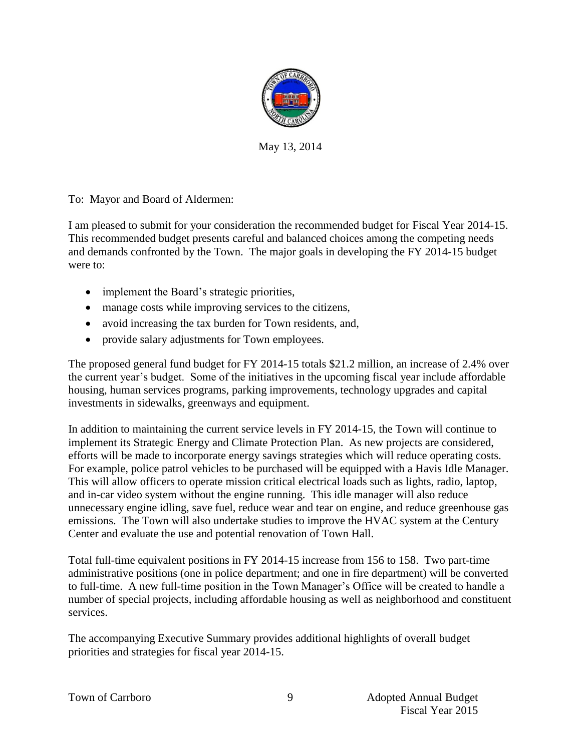

May 13, 2014

To: Mayor and Board of Aldermen:

I am pleased to submit for your consideration the recommended budget for Fiscal Year 2014-15. This recommended budget presents careful and balanced choices among the competing needs and demands confronted by the Town. The major goals in developing the FY 2014-15 budget were to:

- implement the Board's strategic priorities,
- manage costs while improving services to the citizens,
- avoid increasing the tax burden for Town residents, and,
- provide salary adjustments for Town employees.

The proposed general fund budget for FY 2014-15 totals \$21.2 million, an increase of 2.4% over the current year's budget. Some of the initiatives in the upcoming fiscal year include affordable housing, human services programs, parking improvements, technology upgrades and capital investments in sidewalks, greenways and equipment.

In addition to maintaining the current service levels in FY 2014-15, the Town will continue to implement its Strategic Energy and Climate Protection Plan. As new projects are considered, efforts will be made to incorporate energy savings strategies which will reduce operating costs. For example, police patrol vehicles to be purchased will be equipped with a Havis Idle Manager. This will allow officers to operate mission critical electrical loads such as lights, radio, laptop, and in-car video system without the engine running. This idle manager will also reduce unnecessary engine idling, save fuel, reduce wear and tear on engine, and reduce greenhouse gas emissions. The Town will also undertake studies to improve the HVAC system at the Century Center and evaluate the use and potential renovation of Town Hall.

Total full-time equivalent positions in FY 2014-15 increase from 156 to 158. Two part-time administrative positions (one in police department; and one in fire department) will be converted to full-time. A new full-time position in the Town Manager's Office will be created to handle a number of special projects, including affordable housing as well as neighborhood and constituent services.

The accompanying Executive Summary provides additional highlights of overall budget priorities and strategies for fiscal year 2014-15.